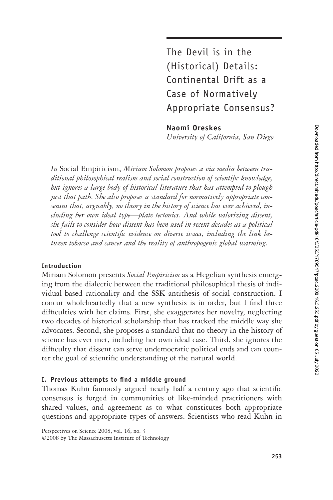The Devil is in the (Historical) Details: Continental Drift as a Case of Normatively Appropriate Consensus?

**Naomi Oreskes**

*University of California, San Diego*

*In* Social Empiricism, *Miriam Solomon proposes a via media between traditional philosophical realism and social construction of scientific knowledge, but ignores a large body of historical literature that has attempted to plough just that path. She also proposes a standard for normatively appropriate consensus that, arguably, no theory in the history of science has ever achieved, including her own ideal type—plate tectonics. And while valorizing dissent, she fails to consider how dissent has been used in recent decades as a political* tool to challenge scientific evidence on diverse issues, including the link be*tween tobacco and cancer and the reality of anthropogenic global warming.*

## **Introduction**

Miriam Solomon presents *Social Empiricism* as a Hegelian synthesis emerging from the dialectic between the traditional philosophical thesis of individual-based rationality and the SSK antithesis of social construction. I concur wholeheartedly that a new synthesis is in order, but I find three difficulties with her claims. First, she exaggerates her novelty, neglecting two decades of historical scholarship that has tracked the middle way she advocates. Second, she proposes a standard that no theory in the history of science has ever met, including her own ideal case. Third, she ignores the difficulty that dissent can serve undemocratic political ends and can counter the goal of scientific understanding of the natural world.

## I. Previous attempts to find a middle ground

Thomas Kuhn famously argued nearly half a century ago that scientific consensus is forged in communities of like-minded practitioners with shared values, and agreement as to what constitutes both appropriate questions and appropriate types of answers. Scientists who read Kuhn in

Perspectives on Science 2008, vol. 16, no. 3 ©2008 by The Massachusetts Institute of Technology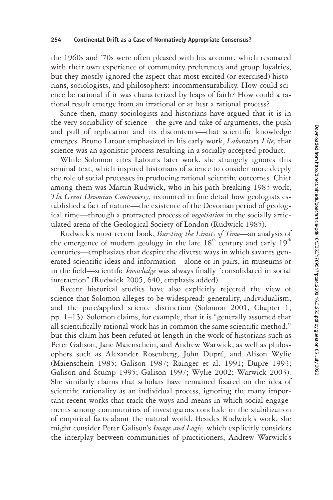the 1960s and '70s were often pleased with his account, which resonated with their own experience of community preferences and group loyalties, but they mostly ignored the aspect that most excited (or exercised) historians, sociologists, and philosophers: incommensurability. How could science be rational if it was characterized by leaps of faith? How could a rational result emerge from an irrational or at best a rational process?

Since then, many sociologists and historians have argued that it is in the very sociability of science—the give and take of arguments, the push and pull of replication and its discontents—that scientific knowledge emerges. Bruno Latour emphasized in his early work, *Laboratory Life,* that science was an agonistic process resulting in a socially accepted product.

While Solomon cites Latour's later work, she strangely ignores this seminal text, which inspired historians of science to consider more deeply the role of social processes in producing rational scientific outcomes. Chief among them was Martin Rudwick, who in his path-breaking 1985 work, *The Great Devonian Controversy*, recounted in fine detail how geologists established a fact of nature—the existence of the Devonian period of geological time—through a protracted process of *negotiation* in the socially articulated arena of the Geological Society of London (Rudwick 1985).

Rudwick's most recent book, *Bursting the Limits of Time*—an analysis of the emergence of modern geology in the late  $18<sup>th</sup>$  century and early  $19<sup>th</sup>$ centuries—emphasizes that despite the diverse ways in which savants generated scientific ideas and information—alone or in pairs, in museums or in the field—scientific *knowledge* was always finally "consolidated in social interaction" (Rudwick 2005, 640, emphasis added).

Recent historical studies have also explicitly rejected the view of science that Solomon alleges to be widespread: generality, individualism, and the pure/applied science distinction (Solomon 2001, Chapter 1, pp. 1–13). Solomon claims, for example, that it is "generally assumed that all scientifically rational work has in common the same scientific method," but this claim has been refuted at length in the work of historians such as Peter Galison, Jane Maienschein, and Andrew Warwick, as well as philosophers such as Alexander Rosenberg, John Dupré, and Alison Wylie (Maienschein 1985; Galison 1987; Rainger et al. 1991; Dupre 1993; Galison and Stump 1995; Galison 1997; Wylie 2002; Warwick 2003). She similarly claims that scholars have remained fixated on the idea of scientific rationality as an individual process, ignoring the many important recent works that track the ways and means in which social engagements among communities of investigators conclude in the stabilization of empirical facts about the natural world. Besides Rudwick's work, she might consider Peter Galison's *Image and Logic,* which explicitly considers the interplay between communities of practitioners, Andrew Warwick's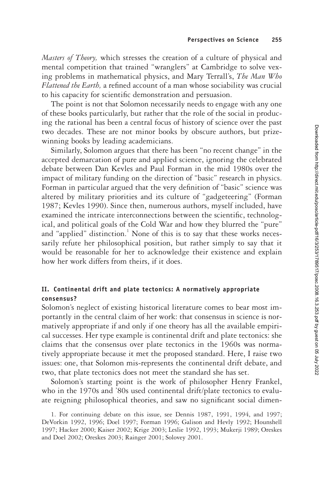*Masters of Theory,* which stresses the creation of a culture of physical and mental competition that trained "wranglers" at Cambridge to solve vexing problems in mathematical physics, and Mary Terrall's, *The Man Who Flattened the Earth*, a refined account of a man whose sociability was crucial to his capacity for scientific demonstration and persuasion.

The point is not that Solomon necessarily needs to engage with any one of these books particularly, but rather that the role of the social in producing the rational has been a central focus of history of science over the past two decades. These are not minor books by obscure authors, but prizewinning books by leading academicians.

Similarly, Solomon argues that there has been "no recent change" in the accepted demarcation of pure and applied science, ignoring the celebrated debate between Dan Kevles and Paul Forman in the mid 1980s over the impact of military funding on the direction of "basic" research in physics. Forman in particular argued that the very definition of "basic" science was altered by military priorities and its culture of "gadgeteering" (Forman 1987; Kevles 1990). Since then, numerous authors, myself included, have examined the intricate interconnections between the scientific, technological, and political goals of the Cold War and how they blurred the "pure" and "applied" distinction.<sup>1</sup> None of this is to say that these works necessarily refute her philosophical position, but rather simply to say that it would be reasonable for her to acknowledge their existence and explain how her work differs from theirs, if it does.

# **II. Continental drift and plate tectonics: A normatively appropriate consensus?**

Solomon's neglect of existing historical literature comes to bear most importantly in the central claim of her work: that consensus in science is normatively appropriate if and only if one theory has all the available empirical successes. Her type example is continental drift and plate tectonics: she claims that the consensus over plate tectonics in the 1960s was normatively appropriate because it met the proposed standard. Here, I raise two issues: one, that Solomon mis-represents the continental drift debate, and two, that plate tectonics does not meet the standard she has set.

Solomon's starting point is the work of philosopher Henry Frankel, who in the 1970s and '80s used continental drift/plate tectonics to evaluate reigning philosophical theories, and saw no significant social dimen-

<sup>1.</sup> For continuing debate on this issue, see Dennis 1987, 1991, 1994, and 1997; DeVorkin 1992, 1996; Doel 1997; Forman 1996; Galison and Hevly 1992; Hounshell 1997; Hacker 2000; Kaiser 2002; Krige 2003; Leslie 1992, 1993; Mukerji 1989; Oreskes and Doel 2002; Oreskes 2003; Rainger 2001; Solovey 2001.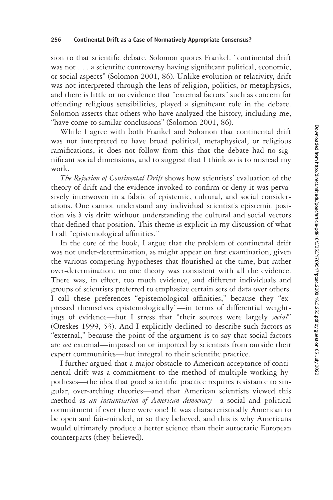sion to that scientific debate. Solomon quotes Frankel: "continental drift" was not . . . a scientific controversy having significant political, economic, or social aspects" (Solomon 2001, 86). Unlike evolution or relativity, drift was not interpreted through the lens of religion, politics, or metaphysics, and there is little or no evidence that "external factors" such as concern for offending religious sensibilities, played a significant role in the debate. Solomon asserts that others who have analyzed the history, including me, "have come to similar conclusions" (Solomon 2001, 86).

While I agree with both Frankel and Solomon that continental drift was not interpreted to have broad political, metaphysical, or religious ramifications, it does not follow from this that the debate had no significant social dimensions, and to suggest that I think so is to misread my work.

*The Rejection of Continental Drift* shows how scientists' evaluation of the theory of drift and the evidence invoked to confirm or deny it was pervasively interwoven in a fabric of epistemic, cultural, and social considerations. One cannot understand any individual scientist's epistemic position vis à vis drift without understanding the cultural and social vectors that defined that position. This theme is explicit in my discussion of what I call "epistemological affinities."

In the core of the book, I argue that the problem of continental drift was not under-determination, as might appear on first examination, given the various competing hypotheses that flourished at the time, but rather over-determination: no one theory was consistent with all the evidence. There was, in effect, too much evidence, and different individuals and groups of scientists preferred to emphasize certain sets of data over others. I call these preferences "epistemological affinities," because they "expressed themselves epistemologically"—in terms of differential weightings of evidence—but I stress that "their sources were largely *social*" (Oreskes 1999, 53). And I explicitly declined to describe such factors as "external," because the point of the argument is to say that social factors are *not* external—imposed on or imported by scientists from outside their expert communities—but integral to their scientific practice.

I further argued that a major obstacle to American acceptance of continental drift was a commitment to the method of multiple working hypotheses—the idea that good scientific practice requires resistance to singular, over-arching theories—and that American scientists viewed this method as *an instantiation of American democracy*—a social and political commitment if ever there were one! It was characteristically American to be open and fair-minded, or so they believed, and this is why Americans would ultimately produce a better science than their autocratic European counterparts (they believed).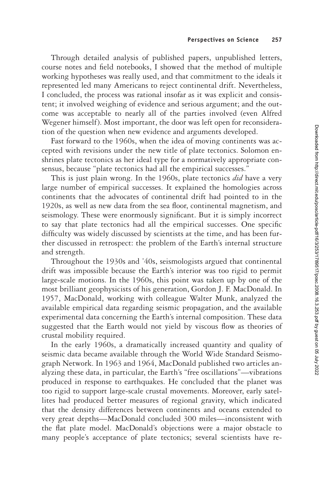Through detailed analysis of published papers, unpublished letters, course notes and field notebooks, I showed that the method of multiple working hypotheses was really used, and that commitment to the ideals it represented led many Americans to reject continental drift. Nevertheless, I concluded, the process was rational insofar as it was explicit and consistent; it involved weighing of evidence and serious argument; and the outcome was acceptable to nearly all of the parties involved (even Alfred Wegener himself). Most important, the door was left open for reconsideration of the question when new evidence and arguments developed.

Fast forward to the 1960s, when the idea of moving continents was accepted with revisions under the new title of plate tectonics. Solomon enshrines plate tectonics as her ideal type for a normatively appropriate consensus, because "plate tectonics had all the empirical successes."

This is just plain wrong. In the 1960s, plate tectonics *did* have a very large number of empirical successes. It explained the homologies across continents that the advocates of continental drift had pointed to in the 1920s, as well as new data from the sea floor, continental magnetism, and seismology. These were enormously significant. But it is simply incorrect to say that plate tectonics had all the empirical successes. One specific difficulty was widely discussed by scientists at the time, and has been further discussed in retrospect: the problem of the Earth's internal structure and strength.

Throughout the 1930s and '40s, seismologists argued that continental drift was impossible because the Earth's interior was too rigid to permit large-scale motions. In the 1960s, this point was taken up by one of the most brilliant geophysicists of his generation, Gordon J. F. MacDonald. In 1957, MacDonald, working with colleague Walter Munk, analyzed the available empirical data regarding seismic propagation, and the available experimental data concerning the Earth's internal composition. These data suggested that the Earth would not yield by viscous flow as theories of crustal mobility required.

In the early 1960s, a dramatically increased quantity and quality of seismic data became available through the World Wide Standard Seismograph Network. In 1963 and 1964, MacDonald published two articles analyzing these data, in particular, the Earth's "free oscillations"—vibrations produced in response to earthquakes. He concluded that the planet was too rigid to support large-scale crustal movements. Moreover, early satellites had produced better measures of regional gravity, which indicated that the density differences between continents and oceans extended to very great depths—MacDonald concluded 300 miles—inconsistent with the flat plate model. MacDonald's objections were a major obstacle to many people's acceptance of plate tectonics; several scientists have re-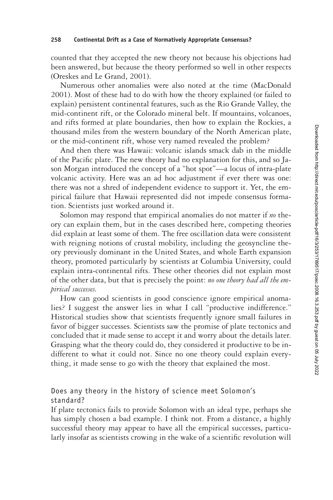#### **258 Continental Drift as a Case of Normatively Appropriate Consensus?**

counted that they accepted the new theory not because his objections had been answered, but because the theory performed so well in other respects (Oreskes and Le Grand, 2001).

Numerous other anomalies were also noted at the time (MacDonald 2001). Most of these had to do with how the theory explained (or failed to explain) persistent continental features, such as the Rio Grande Valley, the mid-continent rift, or the Colorado mineral belt. If mountains, volcanoes, and rifts formed at plate boundaries, then how to explain the Rockies, a thousand miles from the western boundary of the North American plate, or the mid-continent rift, whose very named revealed the problem?

And then there was Hawaii: volcanic islands smack dab in the middle of the Pacific plate. The new theory had no explanation for this, and so Jason Morgan introduced the concept of a "hot spot"—a locus of intra-plate volcanic activity. Here was an ad hoc adjustment if ever there was one: there was not a shred of independent evidence to support it. Yet, the empirical failure that Hawaii represented did not impede consensus formation. Scientists just worked around it.

Solomon may respond that empirical anomalies do not matter if *no* theory can explain them, but in the cases described here, competing theories did explain at least some of them. The free oscillation data were consistent with reigning notions of crustal mobility, including the geosyncline theory previously dominant in the United States, and whole Earth expansion theory, promoted particularly by scientists at Columbia University, could explain intra-continental rifts. These other theories did not explain most of the other data, but that is precisely the point: *no one theory had all the empirical successes.*

How can good scientists in good conscience ignore empirical anomalies? I suggest the answer lies in what I call "productive indifference." Historical studies show that scientists frequently ignore small failures in favor of bigger successes. Scientists saw the promise of plate tectonics and concluded that it made sense to accept it and worry about the details later. Grasping what the theory could do, they considered it productive to be indifferent to what it could not. Since no one theory could explain everything, it made sense to go with the theory that explained the most.

# Does any theory in the history of science meet Solomon's standard?

If plate tectonics fails to provide Solomon with an ideal type, perhaps she has simply chosen a bad example. I think not. From a distance, a highly successful theory may appear to have all the empirical successes, particularly insofar as scientists crowing in the wake of a scientific revolution will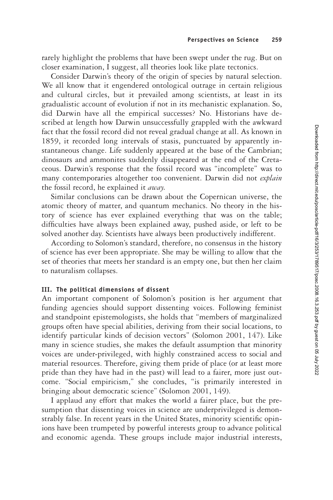rarely highlight the problems that have been swept under the rug. But on closer examination, I suggest, all theories look like plate tectonics.

Consider Darwin's theory of the origin of species by natural selection. We all know that it engendered ontological outrage in certain religious and cultural circles, but it prevailed among scientists, at least in its gradualistic account of evolution if not in its mechanistic explanation. So, did Darwin have all the empirical successes? No. Historians have described at length how Darwin unsuccessfully grappled with the awkward fact that the fossil record did not reveal gradual change at all. As known in 1859, it recorded long intervals of stasis, punctuated by apparently instantaneous change. Life suddenly appeared at the base of the Cambrian; dinosaurs and ammonites suddenly disappeared at the end of the Cretaceous. Darwin's response that the fossil record was "incomplete" was to many contemporaries altogether too convenient. Darwin did not *explain* the fossil record, he explained it *away.*

Similar conclusions can be drawn about the Copernican universe, the atomic theory of matter, and quantum mechanics. No theory in the history of science has ever explained everything that was on the table; difficulties have always been explained away, pushed aside, or left to be solved another day. Scientists have always been productively indifferent.

According to Solomon's standard, therefore, no consensus in the history of science has ever been appropriate. She may be willing to allow that the set of theories that meets her standard is an empty one, but then her claim to naturalism collapses.

## **III. The political dimensions of dissent**

An important component of Solomon's position is her argument that funding agencies should support dissenting voices. Following feminist and standpoint epistemologists, she holds that "members of marginalized groups often have special abilities, deriving from their social locations, to identify particular kinds of decision vectors" (Solomon 2001, 147). Like many in science studies, she makes the default assumption that minority voices are under-privileged, with highly constrained access to social and material resources. Therefore, giving them pride of place (or at least more pride than they have had in the past) will lead to a fairer, more just outcome. "Social empiricism," she concludes, "is primarily interested in bringing about democratic science" (Solomon 2001, 149).

I applaud any effort that makes the world a fairer place, but the presumption that dissenting voices in science are underprivileged is demonstrably false. In recent years in the United States, minority scientific opinions have been trumpeted by powerful interests group to advance political and economic agenda. These groups include major industrial interests,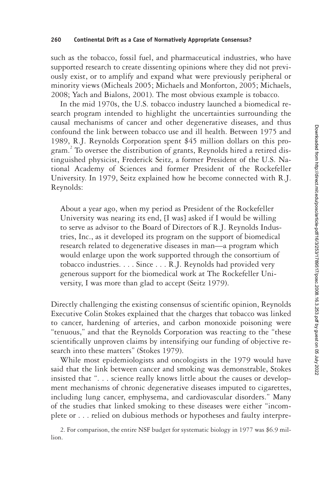such as the tobacco, fossil fuel, and pharmaceutical industries, who have supported research to create dissenting opinions where they did not previously exist, or to amplify and expand what were previously peripheral or minority views (Micheals 2005; Michaels and Monforton, 2005; Michaels, 2008; Yach and Bialons, 2001). The most obvious example is tobacco.

In the mid 1970s, the U.S. tobacco industry launched a biomedical research program intended to highlight the uncertainties surrounding the causal mechanisms of cancer and other degenerative diseases, and thus confound the link between tobacco use and ill health. Between 1975 and 1989, R.J. Reynolds Corporation spent \$45 million dollars on this program.<sup>2</sup> To oversee the distribution of grants, Reynolds hired a retired distinguished physicist, Frederick Seitz, a former President of the U.S. National Academy of Sciences and former President of the Rockefeller University. In 1979, Seitz explained how he become connected with R.J. Reynolds:

About a year ago, when my period as President of the Rockefeller University was nearing its end, [I was] asked if I would be willing to serve as advisor to the Board of Directors of R.J. Reynolds Industries, Inc., as it developed its program on the support of biomedical research related to degenerative diseases in man—a program which would enlarge upon the work supported through the consortium of tobacco industries.... Since... R.J. Reynolds had provided very generous support for the biomedical work at The Rockefeller University, I was more than glad to accept (Seitz 1979).

Directly challenging the existing consensus of scientific opinion, Reynolds Executive Colin Stokes explained that the charges that tobacco was linked to cancer, hardening of arteries, and carbon monoxide poisoning were "tenuous," and that the Reynolds Corporation was reacting to the "these scientifically unproven claims by intensifying our funding of objective research into these matters" (Stokes 1979).

While most epidemiologists and oncologists in the 1979 would have said that the link between cancer and smoking was demonstrable, Stokes insisted that ". . . science really knows little about the causes or development mechanisms of chronic degenerative diseases imputed to cigarettes, including lung cancer, emphysema, and cardiovascular disorders." Many of the studies that linked smoking to these diseases were either "incomplete or... relied on dubious methods or hypotheses and faulty interpre-

2. For comparison, the entire NSF budget for systematic biology in 1977 was \$6.9 million.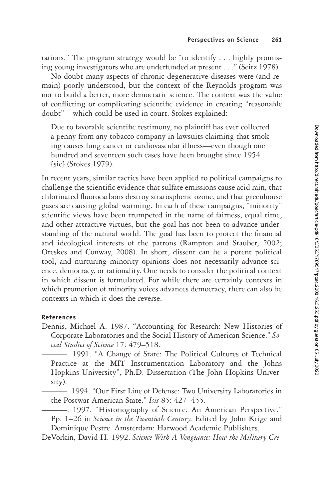tations." The program strategy would be "to identify . . . highly promising young investigators who are underfunded at present . . ." (Seitz 1978).

No doubt many aspects of chronic degenerative diseases were (and remain) poorly understood, but the context of the Reynolds program was not to build a better, more democratic science. The context was the value of conflicting or complicating scientific evidence in creating "reasonable doubt"—which could be used in court. Stokes explained:

Due to favorable scientific testimony, no plaintiff has ever collected a penny from any tobacco company in lawsuits claiming that smoking causes lung cancer or cardiovascular illness—even though one hundred and seventeen such cases have been brought since 1954 [sic] (Stokes 1979).

In recent years, similar tactics have been applied to political campaigns to challenge the scientific evidence that sulfate emissions cause acid rain, that chlorinated fluorocarbons destroy stratospheric ozone, and that greenhouse gases are causing global warming. In each of these campaigns, "minority" scientific views have been trumpeted in the name of fairness, equal time, and other attractive virtues, but the goal has not been to advance understanding of the natural world. The goal has been to protect the financial and ideological interests of the patrons (Rampton and Stauber, 2002; Oreskes and Conway, 2008). In short, dissent can be a potent political tool, and nurturing minority opinions does not necessarily advance science, democracy, or rationality. One needs to consider the political context in which dissent is formulated. For while there are certainly contexts in which promotion of minority voices advances democracy, there can also be contexts in which it does the reverse.

## **References**

- Dennis, Michael A. 1987. "Accounting for Research: New Histories of Corporate Laboratories and the Social History of American Science." *Social Studies of Science* 17: 479–518.
- ———. 1991. "A Change of State: The Political Cultures of Technical Practice at the MIT Instrumentation Laboratory and the Johns Hopkins University", Ph.D. Dissertation (The John Hopkins University).
- ———. 1994. "Our First Line of Defense: Two University Laboratories in the Postwar American State." *Isis* 85: 427–455.
- ———. 1997. "Historiography of Science: An American Perspective." Pp. 1–26 in *Science in the Twentieth Century.* Edited by John Krige and Dominique Pestre. Amsterdam: Harwood Academic Publishers.
- DeVorkin, David H. 1992. *Science With A Vengeance: How the Military Cre-*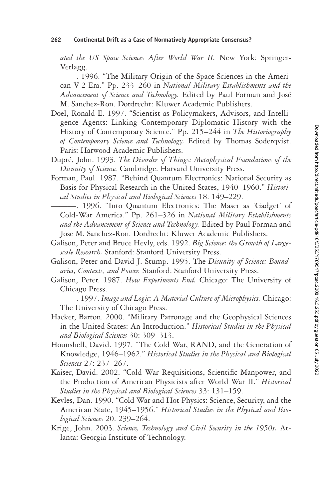### **262 Continental Drift as a Case of Normatively Appropriate Consensus?**

*ated the US Space Sciences After World War II.* New York: Springer-Verlagg.

- ———. 1996. "The Military Origin of the Space Sciences in the American V-2 Era." Pp. 233–260 in *National Military Establishments and the Advancement of Science and Technology.* Edited by Paul Forman and José M. Sanchez-Ron. Dordrecht: Kluwer Academic Publishers.
- Doel, Ronald E. 1997. "Scientist as Policymakers, Advisors, and Intelligence Agents: Linking Contemporary Diplomatic History with the History of Contemporary Science." Pp. 215–244 in *The Historiography of Contemporary Science and Technology.* Edited by Thomas Soderqvist. Paris: Harwood Academic Publishers.
- Dupré, John. 1993. *The Disorder of Things: Metaphysical Foundations of the Disunity of Science.* Cambridge: Harvard University Press.
- Forman, Paul. 1987. "Behind Quantum Electronics: National Security as Basis for Physical Research in the United States, 1940–1960." *Historical Studies in Physical and Biological Sciences* 18: 149–229.
	- ———. 1996. "Into Quantum Electronics: The Maser as 'Gadget' of Cold-War America." Pp. 261–326 in *National Military Establishments and the Advancement of Science and Technology.* Edited by Paul Forman and Jose M. Sanchez-Ron. Dordrecht: Kluwer Academic Publishers.
- Galison, Peter and Bruce Hevly, eds. 1992. *Big Science: the Growth of Largescale Research.* Stanford: Stanford University Press.
- Galison, Peter and David J. Stump. 1995. The *Disunity of Science: Boundaries, Contexts, and Power.* Stanford: Stanford University Press.
- Galison, Peter. 1987. *How Experiments End.* Chicago: The University of Chicago Press.

———. 1997. *Image and Logic: A Material Culture of Microphysics.* Chicago: The University of Chicago Press.

- Hacker, Barton. 2000. "Military Patronage and the Geophysical Sciences in the United States: An Introduction." *Historical Studies in the Physical and Biological Sciences* 30: 309–313.
- Hounshell, David. 1997. "The Cold War, RAND, and the Generation of Knowledge, 1946–1962." *Historical Studies in the Physical and Biological Sciences* 27: 237–267.
- Kaiser, David. 2002. "Cold War Requisitions, Scientific Manpower, and the Production of American Physicists after World War II." *Historical Studies in the Physical and Biological Sciences* 33: 131–159.
- Kevles, Dan. 1990. "Cold War and Hot Physics: Science, Security, and the American State, 1945–1956." *Historical Studies in the Physical and Biological Sciences* 20: 239–264.
- Krige, John. 2003. *Science, Technology and Civil Security in the 1950s.* Atlanta: Georgia Institute of Technology.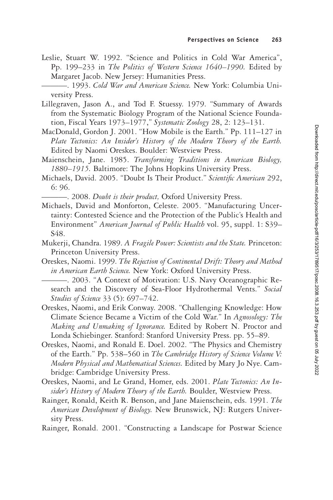- Leslie, Stuart W. 1992. "Science and Politics in Cold War America", Pp. 199–233 in *The Politics of Western Science 1640–1990.* Edited by Margaret Jacob. New Jersey: Humanities Press.
- ———. 1993. *Cold War and American Science.* New York: Columbia University Press.
- Lillegraven, Jason A., and Tod F. Stuessy. 1979. "Summary of Awards from the Systematic Biology Program of the National Science Foundation, Fiscal Years 1973–1977," *Systematic Zoology* 28, 2: 123–131.
- MacDonald, Gordon J. 2001. "How Mobile is the Earth." Pp. 111–127 in *Plate Tectonics: An Insider's History of the Modern Theory of the Earth.* Edited by Naomi Oreskes. Boulder: Westview Press.
- Maienschein, Jane. 1985. *Transforming Traditions in American Biology, 1880–1915.* Baltimore: The Johns Hopkins University Press.
- Michaels, David. 2005. "Doubt Is Their Product." Scientific American 292, 6: 96.

———. 2008. *Doubt is their product,* Oxford University Press.

- Michaels, David and Monforton, Celeste. 2005. "Manufacturing Uncertainty: Contested Science and the Protection of the Public's Health and Environment" *American Journal of Public Health* vol. 95, suppl. 1: S39– S48.
- Mukerji, Chandra. 1989. *A Fragile Power: Scientists and the State.* Princeton: Princeton University Press.
- Oreskes, Naomi. 1999. *The Rejection of Continental Drift: Theory and Method in American Earth Science.* New York: Oxford University Press.

———. 2003. "A Context of Motivation: U.S. Navy Oceanographic Research and the Discovery of Sea-Floor Hydrothermal Vents." *Social Studies of Science* 33 (5): 697–742.

- Oreskes, Naomi, and Erik Conway. 2008. "Challenging Knowledge: How Climate Science Became a Victim of the Cold War." In *Agnosology: The Making and Unmaking of Ignorance.* Edited by Robert N. Proctor and Londa Schiebinger. Stanford: Stanford University Press. pp. 55–89.
- Oreskes, Naomi, and Ronald E. Doel. 2002. "The Physics and Chemistry of the Earth." Pp. 538–560 in *The Cambridge History of Science Volume V: Modern Physical and Mathematical Sciences.* Edited by Mary Jo Nye. Cambridge: Cambridge University Press.
- Oreskes, Naomi, and Le Grand, Homer, eds. 2001. *Plate Tectonics: An Insider's History of Modern Theory of the Earth.* Boulder, Westview Press.
- Rainger, Ronald, Keith R. Benson, and Jane Maienschein, eds. 1991. *The American Development of Biology.* New Brunswick, NJ: Rutgers University Press.
- Rainger, Ronald. 2001. "Constructing a Landscape for Postwar Science